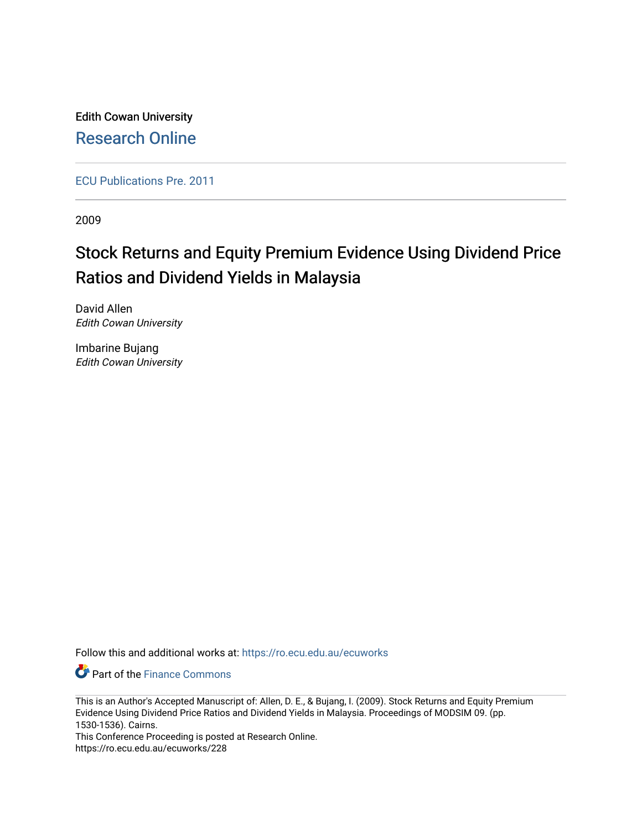Edith Cowan University [Research Online](https://ro.ecu.edu.au/) 

[ECU Publications Pre. 2011](https://ro.ecu.edu.au/ecuworks)

2009

# Stock Returns and Equity Premium Evidence Using Dividend Price Ratios and Dividend Yields in Malaysia

David Allen Edith Cowan University

Imbarine Bujang Edith Cowan University

Follow this and additional works at: [https://ro.ecu.edu.au/ecuworks](https://ro.ecu.edu.au/ecuworks?utm_source=ro.ecu.edu.au%2Fecuworks%2F228&utm_medium=PDF&utm_campaign=PDFCoverPages) 

**P** Part of the Finance Commons

This Conference Proceeding is posted at Research Online. https://ro.ecu.edu.au/ecuworks/228

This is an Author's Accepted Manuscript of: Allen, D. E., & Bujang, I. (2009). Stock Returns and Equity Premium Evidence Using Dividend Price Ratios and Dividend Yields in Malaysia. Proceedings of MODSIM 09. (pp. 1530-1536). Cairns.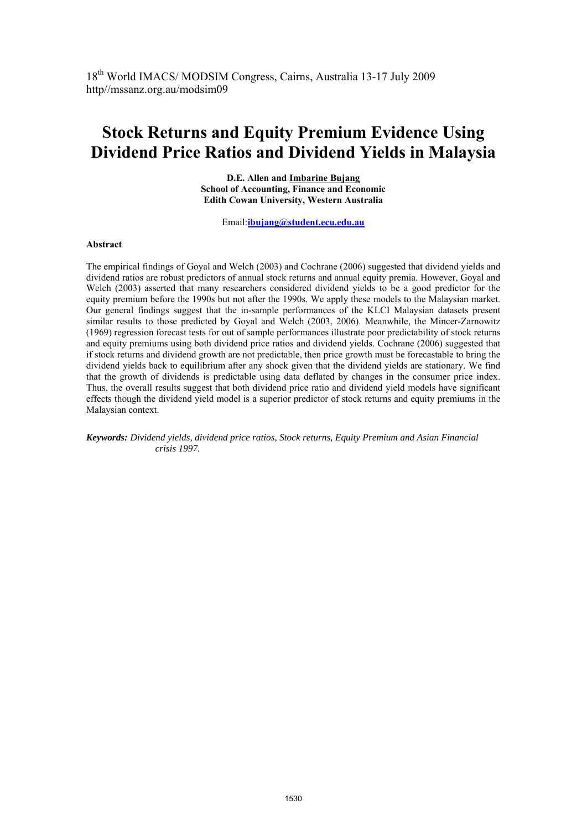## **Stock Returns and Equity Premium Evidence Using Dividend Price Ratios and Dividend Yields in Malaysia**

**D.E. Allen and Imbarine Bujang School of Accounting, Finance and Economic Edith Cowan University, Western Australia** 

Email:**ibujang@student.ecu.edu.au**

### **Abstract**

The empirical findings of Goyal and Welch (2003) and Cochrane (2006) suggested that dividend yields and dividend ratios are robust predictors of annual stock returns and annual equity premia. However, Goyal and Welch (2003) asserted that many researchers considered dividend yields to be a good predictor for the equity premium before the 1990s but not after the 1990s. We apply these models to the Malaysian market. Our general findings suggest that the in-sample performances of the KLCI Malaysian datasets present similar results to those predicted by Goyal and Welch (2003, 2006). Meanwhile, the Mincer-Zarnowitz (1969) regression forecast tests for out of sample performances illustrate poor predictability of stock returns and equity premiums using both dividend price ratios and dividend yields. Cochrane (2006) suggested that if stock returns and dividend growth are not predictable, then price growth must be forecastable to bring the dividend yields back to equilibrium after any shock given that the dividend yields are stationary. We find that the growth of dividends is predictable using data deflated by changes in the consumer price index. Thus, the overall results suggest that both dividend price ratio and dividend yield models have significant effects though the dividend yield model is a superior predictor of stock returns and equity premiums in the Malaysian context.

*Keywords: Dividend yields, dividend price ratios, Stock returns, Equity Premium and Asian Financial crisis 1997.*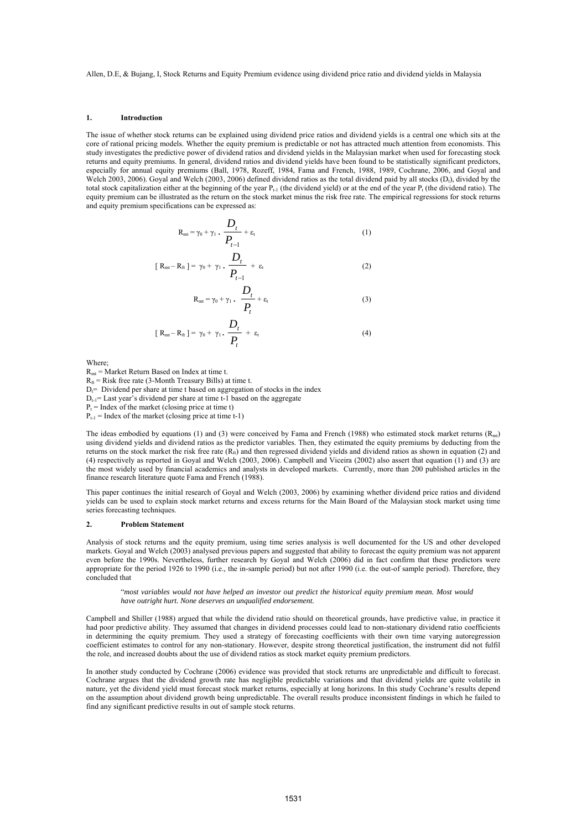#### **1. Introduction**

The issue of whether stock returns can be explained using dividend price ratios and dividend yields is a central one which sits at the core of rational pricing models. Whether the equity premium is predictable or not has attracted much attention from economists. This study investigates the predictive power of dividend ratios and dividend yields in the Malaysian market when used for forecasting stock returns and equity premiums. In general, dividend ratios and dividend yields have been found to be statistically significant predictors, especially for annual equity premiums (Ball, 1978, Rozeff, 1984, Fama and French, 1988, 1989, Cochrane, 2006, and Goyal and Welch 2003, 2006). Goyal and Welch (2003, 2006) defined dividend ratios as the total dividend paid by all stocks (D<sub>t</sub>), divided by the total stock capitalization either at the beginning of the year  $P_{t-1}$  (the dividend yield) or at the end of the year  $P_t$  (the dividend ratio). The equity premium can be illustrated as the return on the stock market minus the risk free rate. The empirical regressions for stock returns and equity premium specifications can be expressed as:

$$
R_{mt} = \gamma_0 + \gamma_1 \cdot \frac{D_t}{P_{t-1}} + \varepsilon_t \tag{1}
$$

$$
[R_{mt} - R_{ft}] = \gamma_0 + \gamma_1 \cdot \frac{D_t}{P_{t-1}} + \varepsilon_t \tag{2}
$$

$$
R_{mt} = \gamma_0 + \gamma_1 \cdot \frac{D_t}{P_t} + \varepsilon_t \tag{3}
$$

$$
[R_{mt}-R_{ft}] = \gamma_0 + \gamma_1 \cdot \frac{D_t}{P_t} + \varepsilon_t \tag{4}
$$

Where;

Rmt = Market Return Based on Index at time t.

 $R<sub>ft</sub>$  = Risk free rate (3-Month Treasury Bills) at time t.

 $D_f$ = Dividend per share at time t based on aggregation of stocks in the index

 $D_{t-1}$ = Last year's dividend per share at time t-1 based on the aggregate

 $P_t$  = Index of the market (closing price at time t)

 $P_{t-1}$  = Index of the market (closing price at time t-1)

The ideas embodied by equations (1) and (3) were conceived by Fama and French (1988) who estimated stock market returns ( $R<sub>mt</sub>$ ) using dividend yields and dividend ratios as the predictor variables. Then, they estimated the equity premiums by deducting from the returns on the stock market the risk free rate  $(R_n)$  and then regressed dividend yields and dividend ratios as shown in equation (2) and (4) respectively as reported in Goyal and Welch (2003, 2006). Campbell and Viceira (2002) also assert that equation (1) and (3) are the most widely used by financial academics and analysts in developed markets. Currently, more than 200 published articles in the finance research literature quote Fama and French (1988).

This paper continues the initial research of Goyal and Welch (2003, 2006) by examining whether dividend price ratios and dividend yields can be used to explain stock market returns and excess returns for the Main Board of the Malaysian stock market using time series forecasting techniques.

#### **2. Problem Statement**

Analysis of stock returns and the equity premium, using time series analysis is well documented for the US and other developed markets. Goyal and Welch (2003) analysed previous papers and suggested that ability to forecast the equity premium was not apparent even before the 1990s. Nevertheless, further research by Goyal and Welch (2006) did in fact confirm that these predictors were appropriate for the period 1926 to 1990 (i.e., the in-sample period) but not after 1990 (i.e. the out-of sample period). Therefore, they concluded that

"*most variables would not have helped an investor out predict the historical equity premium mean. Most would have outright hurt. None deserves an unqualified endorsement.*

Campbell and Shiller (1988) argued that while the dividend ratio should on theoretical grounds, have predictive value, in practice it had poor predictive ability. They assumed that changes in dividend processes could lead to non-stationary dividend ratio coefficients in determining the equity premium. They used a strategy of forecasting coefficients with their own time varying autoregression coefficient estimates to control for any non-stationary. However, despite strong theoretical justification, the instrument did not fulfil the role, and increased doubts about the use of dividend ratios as stock market equity premium predictors.

In another study conducted by Cochrane (2006) evidence was provided that stock returns are unpredictable and difficult to forecast. Cochrane argues that the dividend growth rate has negligible predictable variations and that dividend yields are quite volatile in nature, yet the dividend yield must forecast stock market returns, especially at long horizons. In this study Cochrane's results depend on the assumption about dividend growth being unpredictable. The overall results produce inconsistent findings in which he failed to find any significant predictive results in out of sample stock returns.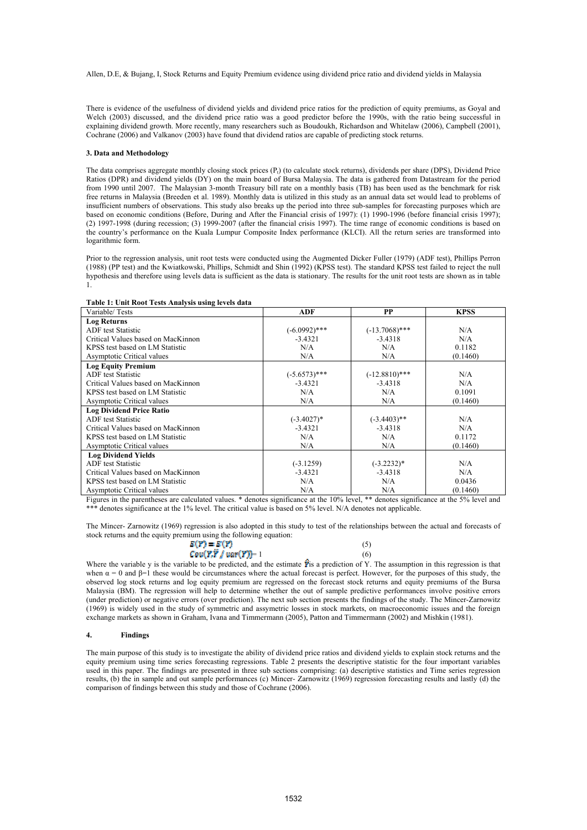There is evidence of the usefulness of dividend yields and dividend price ratios for the prediction of equity premiums, as Goyal and Welch (2003) discussed, and the dividend price ratio was a good predictor before the 1990s, with the ratio being successful in explaining dividend growth. More recently, many researchers such as Boudoukh, Richardson and Whitelaw (2006), Campbell (2001), Cochrane (2006) and Valkanov (2003) have found that dividend ratios are capable of predicting stock returns.

#### **3. Data and Methodology**

The data comprises aggregate monthly closing stock prices  $(P<sub>t</sub>)$  (to calculate stock returns), dividends per share (DPS), Dividend Price Ratios (DPR) and dividend yields (DY) on the main board of Bursa Malaysia. The data is gathered from Datastream for the period from 1990 until 2007. The Malaysian 3-month Treasury bill rate on a monthly basis (TB) has been used as the benchmark for risk free returns in Malaysia (Breeden et al. 1989). Monthly data is utilized in this study as an annual data set would lead to problems of insufficient numbers of observations. This study also breaks up the period into three sub-samples for forecasting purposes which are based on economic conditions (Before, During and After the Financial crisis of 1997): (1) 1990-1996 (before financial crisis 1997); (2) 1997-1998 (during recession; (3) 1999-2007 (after the financial crisis 1997). The time range of economic conditions is based on the country's performance on the Kuala Lumpur Composite Index performance (KLCI). All the return series are transformed into logarithmic form.

Prior to the regression analysis, unit root tests were conducted using the Augmented Dicker Fuller (1979) (ADF test), Phillips Perron (1988) (PP test) and the Kwiatkowski, Phillips, Schmidt and Shin (1992) (KPSS test). The standard KPSS test failed to reject the null hypothesis and therefore using levels data is sufficient as the data is stationary. The results for the unit root tests are shown as in table 1.

| Variable/Tests                                            | ADF             | <b>PP</b>        | <b>KPSS</b> |
|-----------------------------------------------------------|-----------------|------------------|-------------|
| <b>Log Returns</b>                                        |                 |                  |             |
| <b>ADF</b> test Statistic                                 | $(-6.0992)$ *** | $(-13.7068)$ *** | N/A         |
| Critical Values based on MacKinnon                        | $-3.4321$       | $-3.4318$        | N/A         |
| KPSS test based on LM Statistic                           | N/A             | N/A              | 0.1182      |
| Asymptotic Critical values                                | N/A             | N/A              | (0.1460)    |
| <b>Log Equity Premium</b>                                 |                 |                  |             |
| <b>ADF</b> test Statistic                                 | $(-5.6573)$ *** | $(-12.8810)$ *** | N/A         |
| Critical Values based on MacKinnon                        | $-3.4321$       | $-3.4318$        | N/A         |
| KPSS test based on LM Statistic                           | N/A             | N/A              | 0.1091      |
| Asymptotic Critical values                                | N/A             | N/A              | (0.1460)    |
| <b>Log Dividend Price Ratio</b>                           |                 |                  |             |
| <b>ADF</b> test Statistic                                 | $(-3.4027)^*$   | $(-3.4403)$ **   | N/A         |
| Critical Values based on MacKinnon                        | $-3.4321$       | $-3.4318$        | N/A         |
| KPSS test based on LM Statistic                           | N/A             | N/A              | 0.1172      |
| <b>Asymptotic Critical values</b>                         | N/A             | N/A              | (0.1460)    |
| <b>Log Dividend Yields</b>                                |                 |                  |             |
| <b>ADF</b> test Statistic                                 | $(-3.1259)$     | $(-3.2232)*$     | N/A         |
| Critical Values based on MacKinnon                        | $-3.4321$       | $-3.4318$        | N/A         |
| KPSS test based on LM Statistic                           | N/A             | N/A              | 0.0436      |
| <b>Asymptotic Critical values</b><br>$\sim$ $\sim$ $\sim$ | N/A             | N/A              | (0.1460)    |

#### **Table 1: Unit Root Tests Analysis using levels data**

Figures in the parentheses are calculated values. \* denotes significance at the 10% level, \*\* denotes significance at the 5% level and \*\*\* denotes significance at the 1% level. The critical value is based on 5% level. N/A denotes not applicable.

The Mincer- Zarnowitz (1969) regression is also adopted in this study to test of the relationships between the actual and forecasts of stock returns and the equity premium using the following equation:

| $E(Y) = E(Y)$              |     |
|----------------------------|-----|
| $Cov(Y,Y \mid var(Y)) = 1$ | (6) |

Where the variable y is the variable to be predicted, and the estimate  $\hat{\mathbf{r}}$  is a prediction of Y. The assumption in this regression is that when  $\alpha = 0$  and  $\beta = 1$  these would be circumstances where the actual forecast is perfect. However, for the purposes of this study, the observed log stock returns and log equity premium are regressed on the forecast stock returns and equity premiums of the Bursa Malaysia (BM). The regression will help to determine whether the out of sample predictive performances involve positive errors (under prediction) or negative errors (over prediction). The next sub section presents the findings of the study. The Mincer-Zarnowitz (1969) is widely used in the study of symmetric and assymetric losses in stock markets, on macroeconomic issues and the foreign exchange markets as shown in Graham, Ivana and Timmermann (2005), Patton and Timmermann (2002) and Mishkin (1981).

#### **4. Findings**

The main purpose of this study is to investigate the ability of dividend price ratios and dividend yields to explain stock returns and the equity premium using time series forecasting regressions. Table 2 presents the descriptive statistic for the four important variables used in this paper. The findings are presented in three sub sections comprising: (a) descriptive statistics and Time series regression results, (b) the in sample and out sample performances (c) Mincer- Zarnowitz (1969) regression forecasting results and lastly (d) the comparison of findings between this study and those of Cochrane (2006).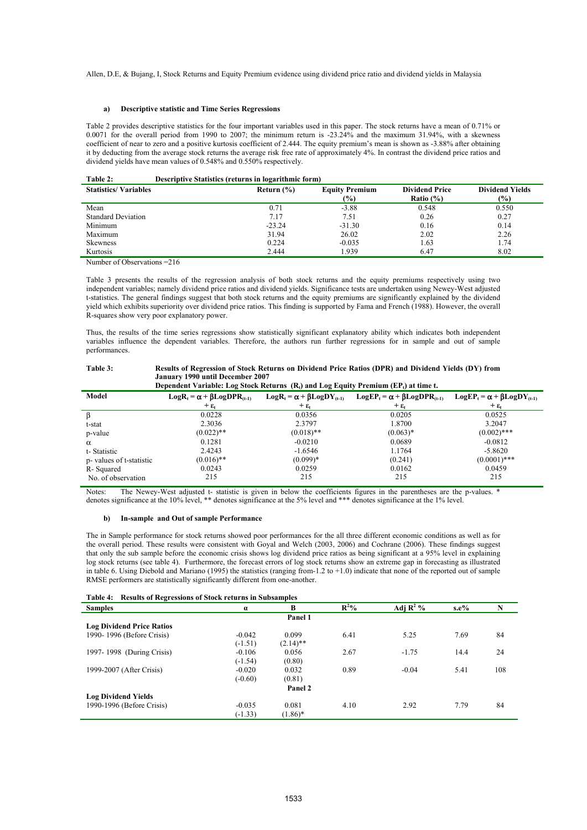#### **a) Descriptive statistic and Time Series Regressions**

Table 2 provides descriptive statistics for the four important variables used in this paper. The stock returns have a mean of 0.71% or 0.0071 for the overall period from 1990 to 2007; the minimum return is  $-23.24\%$  and the maximum 31.94%, with a skewness coefficient of near to zero and a positive kurtosis coefficient of 2.444. The equity premium's mean is shown as -3.88% after obtaining it by deducting from the average stock returns the average risk free rate of approximately 4%. In contrast the dividend price ratios and dividend yields have mean values of 0.548% and 0.550% respectively.

| Table 2: | Descriptive Statistics (returns in logarithmic form) |
|----------|------------------------------------------------------|
|          |                                                      |

| <b>Statistics/Variables</b> | Return $(\% )$ | <b>Equity Premium</b> | <b>Dividend Price</b> | <b>Dividend Yields</b> |
|-----------------------------|----------------|-----------------------|-----------------------|------------------------|
|                             |                | (%)                   | Ratio $(\% )$         | (%)                    |
| Mean                        | 0.71           | $-3.88$               | 0.548                 | 0.550                  |
| <b>Standard Deviation</b>   | 7.17           | 7.51                  | 0.26                  | 0.27                   |
| Minimum                     | $-23.24$       | $-31.30$              | 0.16                  | 0.14                   |
| Maximum                     | 31.94          | 26.02                 | 2.02                  | 2.26                   |
| <b>Skewness</b>             | 0.224          | $-0.035$              | 1.63                  | 1.74                   |
| Kurtosis                    | 2.444          | 1.939                 | 6.47                  | 8.02                   |

Number of Observations =216

Table 3 presents the results of the regression analysis of both stock returns and the equity premiums respectively using two independent variables; namely dividend price ratios and dividend yields. Significance tests are undertaken using Newey-West adjusted t-statistics. The general findings suggest that both stock returns and the equity premiums are significantly explained by the dividend yield which exhibits superiority over dividend price ratios. This finding is supported by Fama and French (1988). However, the overall R-squares show very poor explanatory power.

Thus, the results of the time series regressions show statistically significant explanatory ability which indicates both independent variables influence the dependent variables. Therefore, the authors run further regressions for in sample and out of sample performances.

| Table 3: | Results of Regression of Stock Returns on Dividend Price Ratios (DPR) and Dividend Yields (DY) from |
|----------|-----------------------------------------------------------------------------------------------------|
|          | January 1990 until December 2007                                                                    |

| Dependent Variable: Log Stock Returns $(R_i)$ and Log Equity Premium (EP <sub>t</sub> ) at time t. |                                            |                                           |                                           |                                          |  |  |  |  |
|----------------------------------------------------------------------------------------------------|--------------------------------------------|-------------------------------------------|-------------------------------------------|------------------------------------------|--|--|--|--|
| Model                                                                                              | $Log R_t = \alpha + \beta Log DPR_{(t-1)}$ | $Log R_t = \alpha + \beta Log DY_{(t-1)}$ | $LogEP_t = \alpha + \beta LogDPR_{(t-1)}$ | $LogEP_t = \alpha + \beta LogDY_{(t-1)}$ |  |  |  |  |
|                                                                                                    | $+ \varepsilon$                            | $+\epsilon$                               | $+ \varepsilon$                           | $+\epsilon$                              |  |  |  |  |
|                                                                                                    | 0.0228                                     | 0.0356                                    | 0.0205                                    | 0.0525                                   |  |  |  |  |
| t-stat                                                                                             | 2.3036                                     | 2.3797                                    | 1.8700                                    | 3.2047                                   |  |  |  |  |
| p-value                                                                                            | $(0.022)$ **                               | $(0.018)$ **                              | $(0.063)*$                                | $(0.002)$ ***                            |  |  |  |  |
| $\alpha$                                                                                           | 0.1281                                     | $-0.0210$                                 | 0.0689                                    | $-0.0812$                                |  |  |  |  |
| t-Statistic                                                                                        | 2.4243                                     | $-1.6546$                                 | 1.1764                                    | $-5.8620$                                |  |  |  |  |
| p-values of t-statistic                                                                            | $(0.016)$ **                               | $(0.099)*$                                | (0.241)                                   | $(0.0001)$ ***                           |  |  |  |  |
| R-Squared                                                                                          | 0.0243                                     | 0.0259                                    | 0.0162                                    | 0.0459                                   |  |  |  |  |
| No. of observation                                                                                 | 215                                        | 215                                       | 215                                       | 215                                      |  |  |  |  |

Notes: The Newey-West adjusted t- statistic is given in below the coefficients figures in the parentheses are the p-values. \* denotes significance at the 10% level, \*\* denotes significance at the 5% level and \*\*\* denotes significance at the 1% level.

#### **b) In-sample and Out of sample Performance**

The in Sample performance for stock returns showed poor performances for the all three different economic conditions as well as for the overall period. These results were consistent with Goyal and Welch (2003, 2006) and Cochrane (2006). These findings suggest that only the sub sample before the economic crisis shows log dividend price ratios as being significant at a 95% level in explaining log stock returns (see table 4). Furthermore, the forecast errors of log stock returns show an extreme gap in forecasting as illustrated in table 6. Using Diebold and Mariano (1995) the statistics (ranging from-1.2 to +1.0) indicate that none of the reported out of sample RMSE performers are statistically significantly different from one-another.

| <b>Results of Regressions of Stock returns in Subsamples</b><br>Table 4: |           |             |                  |                        |       |     |  |  |
|--------------------------------------------------------------------------|-----------|-------------|------------------|------------------------|-------|-----|--|--|
| <b>Samples</b>                                                           | $\alpha$  | B           | $\mathbf{R}^2$ % | Adj $\overline{R^2\%}$ | s.e.% | N   |  |  |
| Panel 1                                                                  |           |             |                  |                        |       |     |  |  |
| <b>Log Dividend Price Ratios</b>                                         |           |             |                  |                        |       |     |  |  |
| 1990-1996 (Before Crisis)                                                | $-0.042$  | 0.099       | 6.41             | 5.25                   | 7.69  | 84  |  |  |
|                                                                          | $(-1.51)$ | $(2.14)$ ** |                  |                        |       |     |  |  |
| 1997-1998 (During Crisis)                                                | $-0.106$  | 0.056       | 2.67             | $-1.75$                | 14.4  | 24  |  |  |
|                                                                          | $(-1.54)$ | (0.80)      |                  |                        |       |     |  |  |
| 1999-2007 (After Crisis)                                                 | $-0.020$  | 0.032       | 0.89             | $-0.04$                | 5.41  | 108 |  |  |
|                                                                          | $(-0.60)$ | (0.81)      |                  |                        |       |     |  |  |
|                                                                          |           | Panel 2     |                  |                        |       |     |  |  |
| <b>Log Dividend Yields</b>                                               |           |             |                  |                        |       |     |  |  |
| 1990-1996 (Before Crisis)                                                | $-0.035$  | 0.081       | 4.10             | 2.92                   | 7.79  | 84  |  |  |
|                                                                          | $(-1.33)$ | $(1.86)^*$  |                  |                        |       |     |  |  |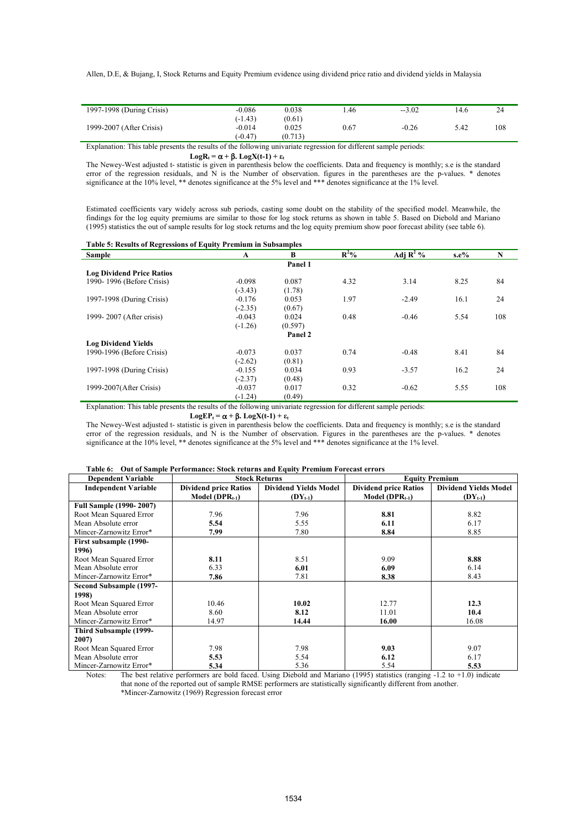| 1997-1998 (During Crisis) | $-0.086$  | 0.038   | .46  | $-3.02$ | l 4.6 | 24  |
|---------------------------|-----------|---------|------|---------|-------|-----|
|                           | $(-1.43)$ | (0.61)  |      |         |       |     |
| 1999-2007 (After Crisis)  | $-0.014$  | 0.025   | 0.67 | $-0.26$ | 5.42  | 108 |
|                           | $(-0.47)$ | (0.713) |      |         |       |     |
| .<br>_____                |           |         | .    | .       |       |     |

Explanation: This table presents the results of the following univariate regression for different sample periods:

### **LogR**<sub>t</sub> =  $\alpha$  +  $\beta$ **.** LogX(t-1) + ε<sub>t</sub>

The Newey-West adjusted t- statistic is given in parenthesis below the coefficients. Data and frequency is monthly; s.e is the standard error of the regression residuals, and N is the Number of observation. figures in the parentheses are the p-values. \* denotes significance at the 10% level, \*\* denotes significance at the 5% level and \*\*\* denotes significance at the 1% level.

Estimated coefficients vary widely across sub periods, casting some doubt on the stability of the specified model. Meanwhile, the findings for the log equity premiums are similar to those for log stock returns as shown in table 5. Based on Diebold and Mariano (1995) statistics the out of sample results for log stock returns and the log equity premium show poor forecast ability (see table 6).

#### **Table 5: Results of Regressions of Equity Premium in Subsamples**

| $\sim$<br><b>Sample</b>          | A         | B       | $\mathbb{R}^2\%$ | Adj $\mathbb{R}^2$ % | $s.e\%$ | N   |
|----------------------------------|-----------|---------|------------------|----------------------|---------|-----|
|                                  |           | Panel 1 |                  |                      |         |     |
| <b>Log Dividend Price Ratios</b> |           |         |                  |                      |         |     |
| 1990-1996 (Before Crisis)        | $-0.098$  | 0.087   | 4.32             | 3.14                 | 8.25    | 84  |
|                                  | $(-3.43)$ | (1.78)  |                  |                      |         |     |
| 1997-1998 (During Crisis)        | $-0.176$  | 0.053   | 1.97             | $-2.49$              | 16.1    | 24  |
|                                  | $(-2.35)$ | (0.67)  |                  |                      |         |     |
| 1999-2007 (After crisis)         | $-0.043$  | 0.024   | 0.48             | $-0.46$              | 5.54    | 108 |
|                                  | $(-1.26)$ | (0.597) |                  |                      |         |     |
|                                  |           | Panel 2 |                  |                      |         |     |
| <b>Log Dividend Yields</b>       |           |         |                  |                      |         |     |
| 1990-1996 (Before Crisis)        | $-0.073$  | 0.037   | 0.74             | $-0.48$              | 8.41    | 84  |
|                                  | $(-2.62)$ | (0.81)  |                  |                      |         |     |
| 1997-1998 (During Crisis)        | $-0.155$  | 0.034   | 0.93             | $-3.57$              | 16.2    | 24  |
|                                  | $(-2.37)$ | (0.48)  |                  |                      |         |     |
| 1999-2007(After Crisis)          | $-0.037$  | 0.017   | 0.32             | $-0.62$              | 5.55    | 108 |
|                                  | $(-1.24)$ | (0.49)  |                  |                      |         |     |

Explanation: This table presents the results of the following univariate regression for different sample periods:

#### **LogEP<sub>t</sub> =**  $\alpha + \beta$ **. LogX(t-1) + ε<sub>t</sub>**

The Newey-West adjusted t- statistic is given in parenthesis below the coefficients. Data and frequency is monthly; s.e is the standard error of the regression residuals, and N is the Number of observation. Figures in the parentheses are the p-values. \* denotes significance at the 10% level, \*\* denotes significance at the 5% level and \*\*\* denotes significance at the 1% level.

#### **Table 6: Out of Sample Performance: Stock returns and Equity Premium Forecast errors**

| <b>Dependent Variable</b>      |                              | <b>Stock Returns</b>         | <b>Equity Premium</b>        |                              |  |
|--------------------------------|------------------------------|------------------------------|------------------------------|------------------------------|--|
| <b>Independent Variable</b>    | <b>Dividend price Ratios</b> | <b>Dividend Yields Model</b> | <b>Dividend price Ratios</b> | <b>Dividend Yields Model</b> |  |
|                                | Model ( $DPR_{t-1}$ )        | $(DY_{t-1})$                 | Model ( $DPR_{t-1}$ )        | $(DY_{t-1})$                 |  |
| <b>Full Sample (1990-2007)</b> |                              |                              |                              |                              |  |
| Root Mean Squared Error        | 7.96                         | 7.96                         | 8.81                         | 8.82                         |  |
| Mean Absolute error            | 5.54                         | 5.55                         | 6.11                         | 6.17                         |  |
| Mincer-Zarnowitz Error*        | 7.99                         | 7.80                         | 8.84                         | 8.85                         |  |
| First subsample (1990-         |                              |                              |                              |                              |  |
| 1996)                          |                              |                              |                              |                              |  |
| Root Mean Squared Error        | 8.11                         | 8.51                         | 9.09                         | 8.88                         |  |
| Mean Absolute error            | 6.33                         | 6.01                         | 6.09                         | 6.14                         |  |
| Mincer-Zarnowitz Error*        | 7.86                         | 7.81                         | 8.38                         | 8.43                         |  |
| Second Subsample (1997-        |                              |                              |                              |                              |  |
| 1998)                          |                              |                              |                              |                              |  |
| Root Mean Squared Error        | 10.46                        | 10.02                        | 12.77                        | 12.3                         |  |
| Mean Absolute error            | 8.60                         | 8.12                         | 11.01                        | 10.4                         |  |
| Mincer-Zarnowitz Error*        | 14.97                        | 14.44                        | 16.00                        | 16.08                        |  |
| <b>Third Subsample (1999-</b>  |                              |                              |                              |                              |  |
| 2007)                          |                              |                              |                              |                              |  |
| Root Mean Squared Error        | 7.98                         | 7.98                         | 9.03                         | 9.07                         |  |
| Mean Absolute error            | 5.53                         | 5.54                         | 6.12                         | 6.17                         |  |
| Mincer-Zarnowitz Error*        | 5.34                         | 5.36                         | 5.54                         | 5.53                         |  |

Notes: The best relative performers are bold faced. Using Diebold and Mariano (1995) statistics (ranging  $-1.2$  to  $+1.0$ ) indicate that none of the reported out of sample RMSE performers are statistically significantly different from another. \*Mincer-Zarnowitz (1969) Regression forecast error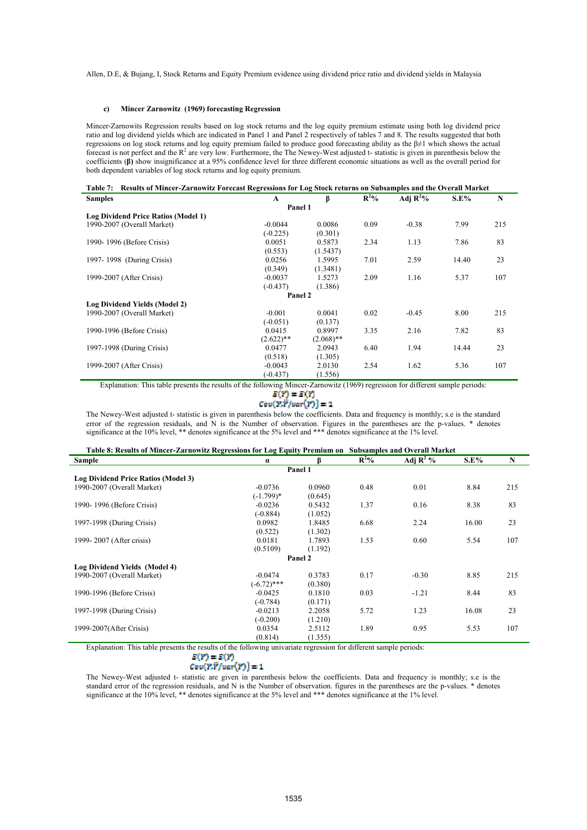#### **c) Mincer Zarnowitz (1969) forecasting Regression**

Mincer-Zarnowits Regression results based on log stock returns and the log equity premium estimate using both log dividend price ratio and log dividend yields which are indicated in Panel 1 and Panel 2 respectively of tables 7 and 8. The results suggested that both regressions on log stock returns and log equity premium failed to produce good forecasting ability as the β≠1 which shows the actual forecast is not perfect and the  $R<sup>2</sup>$  are very low. Furthermore, the The Newey-West adjusted t-statistic is given in parenthesis below the coefficients (**β)** show insignificance at a 95% confidence level for three different economic situations as well as the overall period for both dependent variables of log stock returns and log equity premium.

| Table 7: Results of Mincer-Zarnowitz Forecast Regressions for Log Stock returns on Subsamples and the Overall Market |              |              |                  |             |             |     |  |  |  |
|----------------------------------------------------------------------------------------------------------------------|--------------|--------------|------------------|-------------|-------------|-----|--|--|--|
| <b>Samples</b>                                                                                                       | A            | β            | $\mathbf{R}^2$ % | Adj $R^2\%$ | <b>S.E%</b> | N   |  |  |  |
|                                                                                                                      | Panel 1      |              |                  |             |             |     |  |  |  |
| Log Dividend Price Ratios (Model 1)                                                                                  |              |              |                  |             |             |     |  |  |  |
| 1990-2007 (Overall Market)                                                                                           | $-0.0044$    | 0.0086       | 0.09             | $-0.38$     | 7.99        | 215 |  |  |  |
|                                                                                                                      | $(-0.225)$   | (0.301)      |                  |             |             |     |  |  |  |
| 1990-1996 (Before Crisis)                                                                                            | 0.0051       | 0.5873       | 2.34             | 1.13        | 7.86        | 83  |  |  |  |
|                                                                                                                      | (0.553)      | (1.5437)     |                  |             |             |     |  |  |  |
| 1997-1998 (During Crisis)                                                                                            | 0.0256       | 1.5995       | 7.01             | 2.59        | 14.40       | 23  |  |  |  |
|                                                                                                                      | (0.349)      | (1.3481)     |                  |             |             |     |  |  |  |
| 1999-2007 (After Crisis)                                                                                             | $-0.0037$    | 1.5273       | 2.09             | 1.16        | 5.37        | 107 |  |  |  |
|                                                                                                                      | $(-0.437)$   | (1.386)      |                  |             |             |     |  |  |  |
|                                                                                                                      | Panel 2      |              |                  |             |             |     |  |  |  |
| Log Dividend Yields (Model 2)                                                                                        |              |              |                  |             |             |     |  |  |  |
| 1990-2007 (Overall Market)                                                                                           | $-0.001$     | 0.0041       | 0.02             | $-0.45$     | 8.00        | 215 |  |  |  |
|                                                                                                                      | $(-0.051)$   | (0.137)      |                  |             |             |     |  |  |  |
| 1990-1996 (Before Crisis)                                                                                            | 0.0415       | 0.8997       | 3.35             | 2.16        | 7.82        | 83  |  |  |  |
|                                                                                                                      | $(2.622)$ ** | $(2.068)$ ** |                  |             |             |     |  |  |  |
| 1997-1998 (During Crisis)                                                                                            | 0.0477       | 2.0943       | 6.40             | 1.94        | 14.44       | 23  |  |  |  |
|                                                                                                                      | (0.518)      | (1.305)      |                  |             |             |     |  |  |  |
| 1999-2007 (After Crisis)                                                                                             | $-0.0043$    | 2.0130       | 2.54             | 1.62        | 5.36        | 107 |  |  |  |
|                                                                                                                      | $(-0.437)$   | (1.556)      |                  |             |             |     |  |  |  |

Explanation: This table presents the results of the following Mincer-Zarnowitz (1969) regression for different sample periods:<br> $E(T) = E(T)$ 

## $Cov(\overrightarrow{Y,Y}/var(\overrightarrow{Y}))=1$

The Newey-West adjusted t- statistic is given in parenthesis below the coefficients. Data and frequency is monthly; s.e is the standard error of the regression residuals, and N is the Number of observation. Figures in the parentheses are the p-values. \* denotes significance at the 10% level, \*\* denotes significance at the 5% level and \*\*\* denotes significance at the 1% level.

#### **Table 8: Results of Mincer-Zarnowitz Regressions for Log Equity Premium on Subsamples and Overall Market**

| Sample                              | $\alpha$      |         | $R^2\%$ | Adj $\mathbb{R}^2$ % | $S.E\%$ | N   |
|-------------------------------------|---------------|---------|---------|----------------------|---------|-----|
|                                     |               | Panel 1 |         |                      |         |     |
| Log Dividend Price Ratios (Model 3) |               |         |         |                      |         |     |
| 1990-2007 (Overall Market)          | $-0.0736$     | 0.0960  | 0.48    | 0.01                 | 8.84    | 215 |
|                                     | $(-1.799)*$   | (0.645) |         |                      |         |     |
| 1990-1996 (Before Crisis)           | $-0.0236$     | 0.5432  | 1.37    | 0.16                 | 8.38    | 83  |
|                                     | $(-0.884)$    | (1.052) |         |                      |         |     |
| 1997-1998 (During Crisis)           | 0.0982        | 1.8485  | 6.68    | 2.24                 | 16.00   | 23  |
|                                     | (0.522)       | (1.302) |         |                      |         |     |
| 1999-2007 (After crisis)            | 0.0181        | 1.7893  | 1.53    | 0.60                 | 5.54    | 107 |
|                                     | (0.5109)      | (1.192) |         |                      |         |     |
|                                     |               | Panel 2 |         |                      |         |     |
| Log Dividend Yields (Model 4)       |               |         |         |                      |         |     |
| 1990-2007 (Overall Market)          | $-0.0474$     | 0.3783  | 0.17    | $-0.30$              | 8.85    | 215 |
|                                     | $(-6.72)$ *** | (0.380) |         |                      |         |     |
| 1990-1996 (Before Crisis)           | $-0.0425$     | 0.1810  | 0.03    | $-1.21$              | 8.44    | 83  |
|                                     | $(-0.784)$    | (0.171) |         |                      |         |     |
| 1997-1998 (During Crisis)           | $-0.0213$     | 2.2058  | 5.72    | 1.23                 | 16.08   | 23  |
|                                     | $(-0.200)$    | (1.210) |         |                      |         |     |
| 1999-2007(After Crisis)             | 0.0354        | 2.5112  | 1.89    | 0.95                 | 5.53    | 107 |
|                                     | (0.814)       | (1.355) |         |                      |         |     |

Explanation: This table presents the results of the following univariate regression for different sample periods:

#### $E(Y) = E(Y)$  $Cov(P, P / var(P)) = 1$

The Newey-West adjusted t- statistic are given in parenthesis below the coefficients. Data and frequency is monthly; s.e is the standard error of the regression residuals, and N is the Number of observation. figures in the parentheses are the p-values. \* denotes significance at the 10% level, \*\* denotes significance at the 5% level and \*\*\* denotes significance at the 1% level.